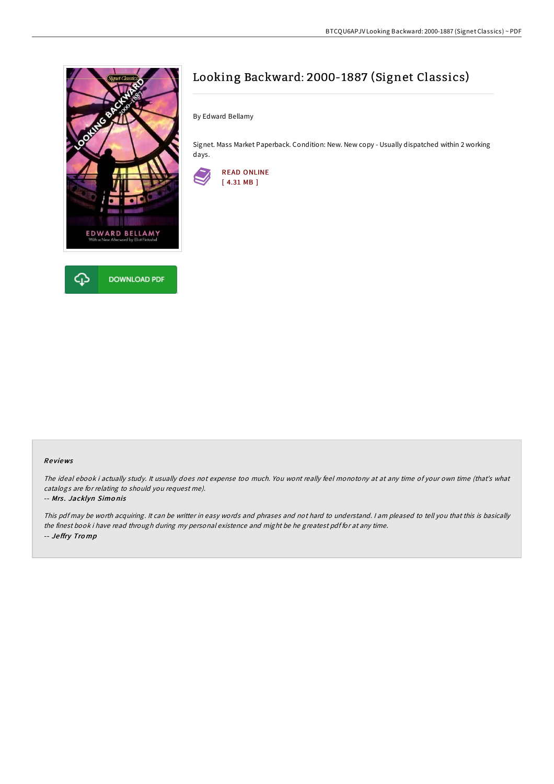



# Looking Backward: 2000-1887 (Signet Classics)

By Edward Bellamy

Signet. Mass Market Paperback. Condition: New. New copy - Usually dispatched within 2 working days.



## Re views

The ideal ebook i actually study. It usually does not expense too much. You wont really feel monotony at at any time of your own time (that's what catalogs are for relating to should you request me).

### -- Mrs . Jacklyn Simo nis

This pdf may be worth acquiring. It can be writter in easy words and phrases and not hard to understand. <sup>I</sup> am pleased to tell you that this is basically the finest book i have read through during my personal existence and might be he greatest pdf for at any time. -- Je ffry Tro mp